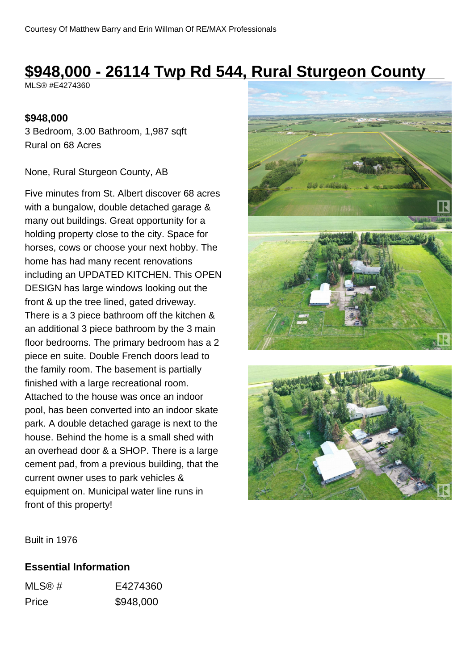# **\$948,000 - 26114 Twp Rd 544, Rural Sturgeon County**

MLS® #E4274360

#### **\$948,000**

3 Bedroom, 3.00 Bathroom, 1,987 sqft Rural on 68 Acres

None, Rural Sturgeon County, AB

Five minutes from St. Albert discover 68 acres with a bungalow, double detached garage & many out buildings. Great opportunity for a holding property close to the city. Space for horses, cows or choose your next hobby. The home has had many recent renovations including an UPDATED KITCHEN. This OPEN DESIGN has large windows looking out the front & up the tree lined, gated driveway. There is a 3 piece bathroom off the kitchen & an additional 3 piece bathroom by the 3 main floor bedrooms. The primary bedroom has a 2 piece en suite. Double French doors lead to the family room. The basement is partially finished with a large recreational room. Attached to the house was once an indoor pool, has been converted into an indoor skate park. A double detached garage is next to the house. Behind the home is a small shed with an overhead door & a SHOP. There is a large cement pad, from a previous building, that the current owner uses to park vehicles & equipment on. Municipal water line runs in front of this property!





Built in 1976

### **Essential Information**

| MLS@# | E4274360  |
|-------|-----------|
| Price | \$948,000 |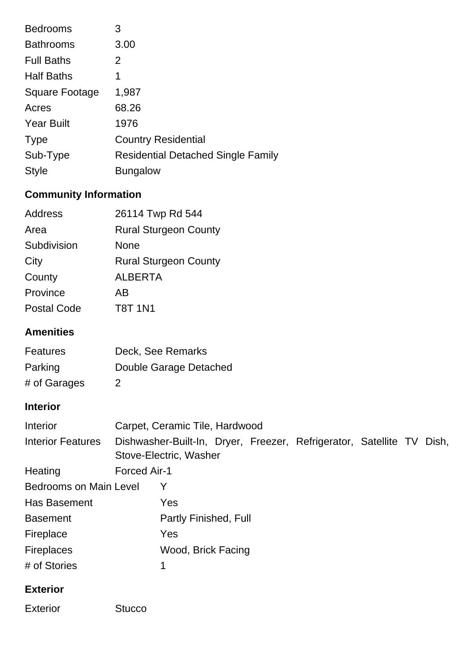| <b>Bedrooms</b>   | 3                                         |
|-------------------|-------------------------------------------|
| <b>Bathrooms</b>  | 3.00                                      |
| <b>Full Baths</b> | 2                                         |
| <b>Half Baths</b> | 1                                         |
| Square Footage    | 1,987                                     |
| Acres             | 68.26                                     |
| <b>Year Built</b> | 1976                                      |
| <b>Type</b>       | <b>Country Residential</b>                |
| Sub-Type          | <b>Residential Detached Single Family</b> |
| <b>Style</b>      | <b>Bungalow</b>                           |

## **Community Information**

| Address            | 26114 Twp Rd 544             |
|--------------------|------------------------------|
| Area               | <b>Rural Sturgeon County</b> |
| Subdivision        | None                         |
| City               | <b>Rural Sturgeon County</b> |
| County             | <b>ALBERTA</b>               |
| Province           | ΑR                           |
| <b>Postal Code</b> | <b>T8T 1N1</b>               |

## **Amenities**

| <b>Features</b> | Deck, See Remarks      |
|-----------------|------------------------|
| Parking         | Double Garage Detached |
| # of Garages    | $\mathcal{P}$          |

## **Interior**

| <b>Interior</b>               | Carpet, Ceramic Tile, Hardwood |                        |  |  |                                                                       |  |  |
|-------------------------------|--------------------------------|------------------------|--|--|-----------------------------------------------------------------------|--|--|
| <b>Interior Features</b>      |                                | Stove-Electric, Washer |  |  | Dishwasher-Built-In, Dryer, Freezer, Refrigerator, Satellite TV Dish, |  |  |
| Heating                       | Forced Air-1                   |                        |  |  |                                                                       |  |  |
| <b>Bedrooms on Main Level</b> |                                | Y                      |  |  |                                                                       |  |  |
| Has Basement                  |                                | Yes                    |  |  |                                                                       |  |  |
| <b>Basement</b>               |                                | Partly Finished, Full  |  |  |                                                                       |  |  |
| Fireplace                     |                                | Yes                    |  |  |                                                                       |  |  |
| <b>Fireplaces</b>             |                                | Wood, Brick Facing     |  |  |                                                                       |  |  |
| # of Stories                  |                                |                        |  |  |                                                                       |  |  |

### **Exterior**

Exterior Stucco